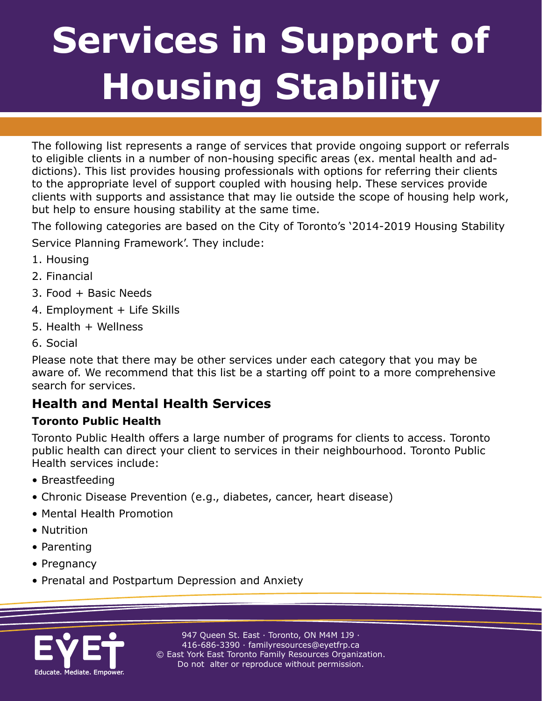# **Services in Support of Services in Support of OUSING Stabili Housing Stability**

**A Resource for Toronto Housing Professionals** 

The following list represents a range of services that provide ongoing support or referrals to eligible clients in a number of non-housing specific areas (ex. mental health and addictions). This list provides housing professionals with options for referring their clients to the appropriate level of support coupled with housing help. These services provide clients with supports and assistance that may lie outside the scope of housing help work, but help to ensure housing stability at the same time.

The following categories are based on the City of Toronto's '2014-2019 Housing Stability Service Planning Framework'. They include:

- 1. Housing
- 2. Financial
- 3. Food + Basic Needs
- 4. Employment + Life Skills
- 5. Health + Wellness
- 6. Social

Please note that there may be other services under each category that you may be aware of. We recommend that this list be a starting off point to a more comprehensive search for services.

## **Health and Mental Health Services**

### **Toronto Public Health**

Toronto Public Health offers a large number of programs for clients to access. Toronto public health can direct your client to services in their neighbourhood. Toronto Public Health services include:

- Breastfeeding
- Chronic Disease Prevention (e.g., diabetes, cancer, heart disease)
- Mental Health Promotion
- Nutrition
- Parenting
- Pregnancy
- Prenatal and Postpartum Depression and Anxiety

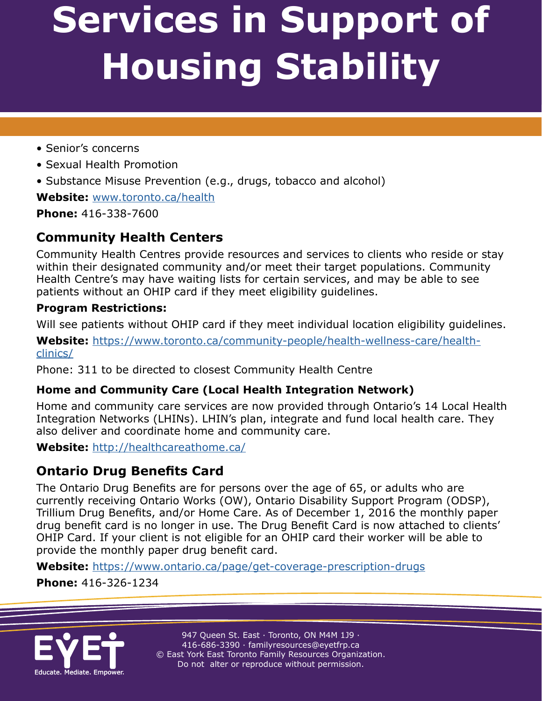**A Resource for Toronto Housing Professionals** 

- Senior's concerns
- Sexual Health Promotion
- Substance Misuse Prevention (e.g., drugs, tobacco and alcohol)

**Website:** <www.toronto.ca/health>

**Phone:** 416-338-7600

# **Community Health Centers**

Community Health Centres provide resources and services to clients who reside or stay within their designated community and/or meet their target populations. Community Health Centre's may have waiting lists for certain services, and may be able to see patients without an OHIP card if they meet eligibility guidelines.

### **Program Restrictions:**

Will see patients without OHIP card if they meet individual location eligibility guidelines.

**Website:** [https://www.toronto.ca/community-people/health-wellness-care/health](https://www.toronto.ca/community-people/health-wellness-care/health-clinics/
)[clinics/](https://www.toronto.ca/community-people/health-wellness-care/health-clinics/
)

Phone: 311 to be directed to closest Community Health Centre

## **Home and Community Care (Local Health Integration Network)**

Home and community care services are now provided through Ontario's 14 Local Health Integration Networks (LHINs). LHIN's plan, integrate and fund local health care. They also deliver and coordinate home and community care.

**Website:** <http://healthcareathome.ca/>

# **Ontario Drug Benefits Card**

The Ontario Drug Benefits are for persons over the age of 65, or adults who are currently receiving Ontario Works (OW), Ontario Disability Support Program (ODSP), Trillium Drug Benefits, and/or Home Care. As of December 1, 2016 the monthly paper drug benefit card is no longer in use. The Drug Benefit Card is now attached to clients' OHIP Card. If your client is not eligible for an OHIP card their worker will be able to provide the monthly paper drug benefit card.

**Website:** [https://www.ontario.ca/page/get-coverage-prescription-drugs](https://www.ontario.ca/page/get-coverage-prescription-drugs
)

**Phone:** 416-326-1234

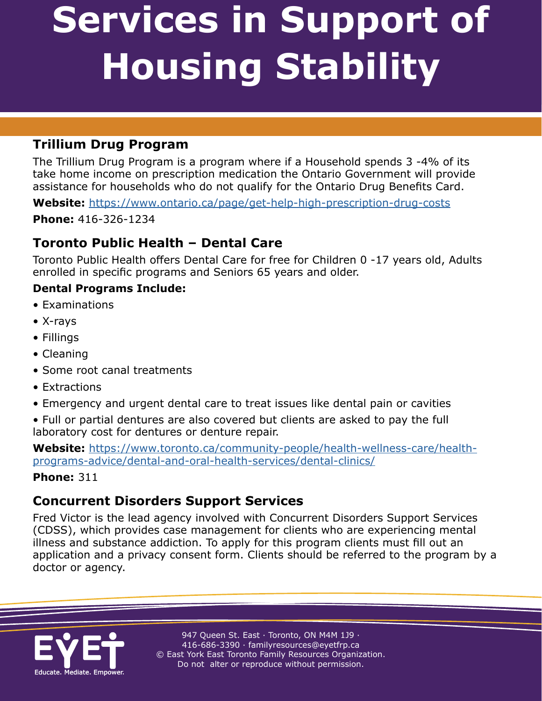**A Resource for Toronto Housing Professionals** 

## **Trillium Drug Program**

The Trillium Drug Program is a program where if a Household spends 3 -4% of its take home income on prescription medication the Ontario Government will provide assistance for households who do not qualify for the Ontario Drug Benefits Card.

**Website:** <https://www.ontario.ca/page/get-help-high-prescription-drug-costs>

**Phone:** 416-326-1234

## **Toronto Public Health – Dental Care**

Toronto Public Health offers Dental Care for free for Children 0 -17 years old, Adults enrolled in specific programs and Seniors 65 years and older.

### **Dental Programs Include:**

- Examinations
- X-rays
- Fillings
- Cleaning
- Some root canal treatments
- Extractions
- Emergency and urgent dental care to treat issues like dental pain or cavities
- Full or partial dentures are also covered but clients are asked to pay the full laboratory cost for dentures or denture repair.

**Website:** [https://www.toronto.ca/community-people/health-wellness-care/health](https://www.toronto.ca/community-people/health-wellness-care/health-programs-advice/dental-and-oral-health-services/dental-clinics/)[programs-advice/dental-and-oral-health-services/dental-clinics/](https://www.toronto.ca/community-people/health-wellness-care/health-programs-advice/dental-and-oral-health-services/dental-clinics/)

#### **Phone:** 311

## **Concurrent Disorders Support Services**

Fred Victor is the lead agency involved with Concurrent Disorders Support Services (CDSS), which provides case management for clients who are experiencing mental illness and substance addiction. To apply for this program clients must fill out an application and a privacy consent form. Clients should be referred to the program by a doctor or agency.

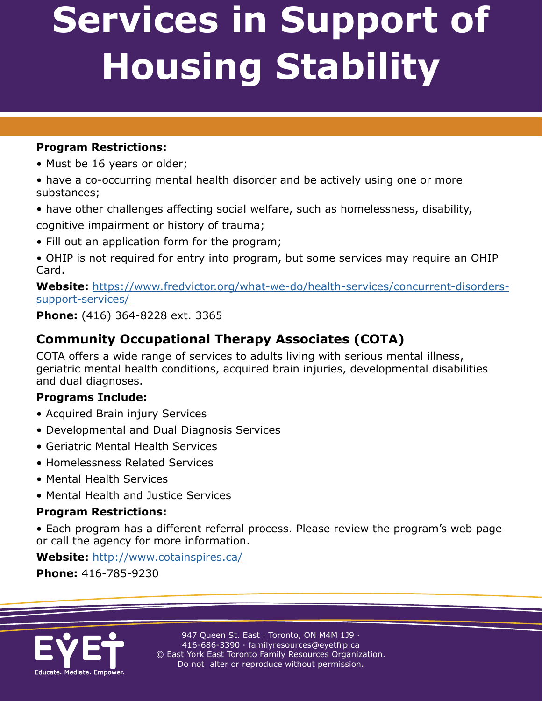**A Resource for Toronto Housing Professionals** 

### **Program Restrictions:**

- Must be 16 years or older;
- have a co-occurring mental health disorder and be actively using one or more substances;
- have other challenges affecting social welfare, such as homelessness, disability, cognitive impairment or history of trauma;
- Fill out an application form for the program;
- OHIP is not required for entry into program, but some services may require an OHIP Card.

**Website:** [https://www.fredvictor.org/what-we-do/health-services/concurrent-disorders](https://www.fredvictor.org/what-we-do/health-services/concurrent-disorders-support-services/
)[support-services/](https://www.fredvictor.org/what-we-do/health-services/concurrent-disorders-support-services/
)

**Phone:** (416) 364-8228 ext. 3365

# **Community Occupational Therapy Associates (COTA)**

COTA offers a wide range of services to adults living with serious mental illness, geriatric mental health conditions, acquired brain injuries, developmental disabilities and dual diagnoses.

### **Programs Include:**

- Acquired Brain injury Services
- Developmental and Dual Diagnosis Services
- Geriatric Mental Health Services
- Homelessness Related Services
- Mental Health Services
- Mental Health and Justice Services

#### **Program Restrictions:**

• Each program has a different referral process. Please review the program's web page or call the agency for more information.

**Website:** <http://www.cotainspires.ca/>

**Phone:** 416-785-9230

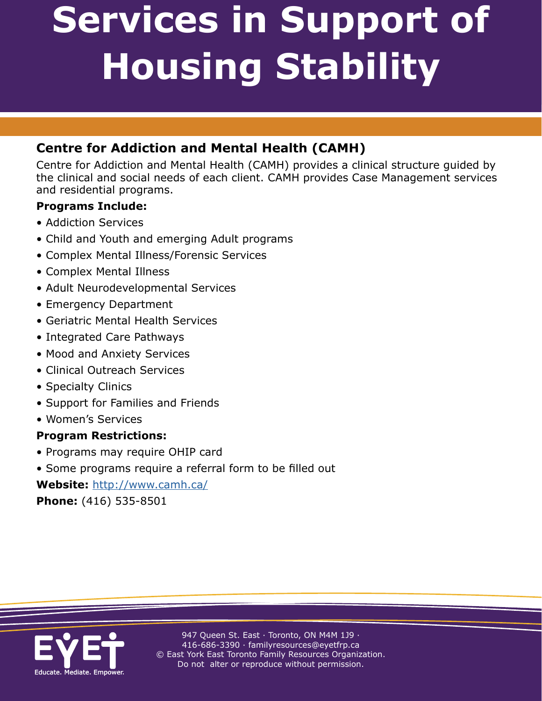**A Resource for Toronto Housing Professionals** 

## **Centre for Addiction and Mental Health (CAMH)**

Centre for Addiction and Mental Health (CAMH) provides a clinical structure guided by the clinical and social needs of each client. CAMH provides Case Management services and residential programs.

### **Programs Include:**

- Addiction Services
- Child and Youth and emerging Adult programs
- Complex Mental Illness/Forensic Services
- Complex Mental Illness
- Adult Neurodevelopmental Services
- Emergency Department
- Geriatric Mental Health Services
- Integrated Care Pathways
- Mood and Anxiety Services
- Clinical Outreach Services
- Specialty Clinics
- Support for Families and Friends
- Women's Services

#### **Program Restrictions:**

- Programs may require OHIP card
- Some programs require a referral form to be filled out

#### **Website:** <http://www.camh.ca/>

**Phone:** (416) 535-8501

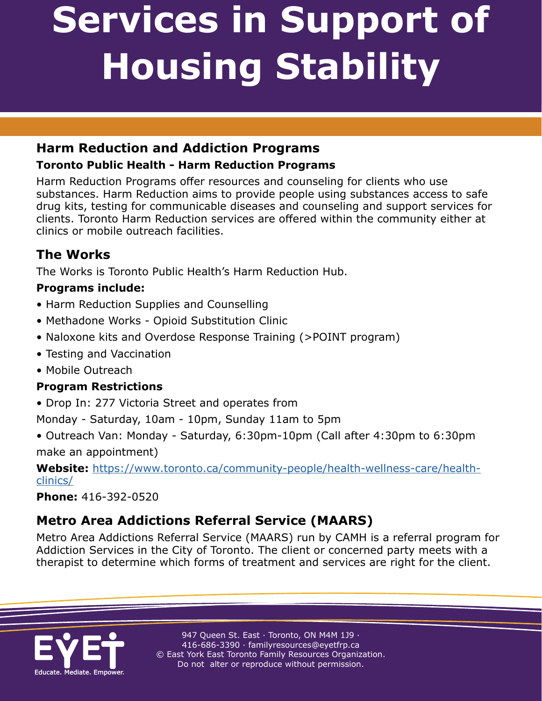**A Resource for Toronto Housing Professionals** 

## **Harm Reduction and Addiction Programs**

## **Toronto Public Health - Harm Reduction Programs**

Harm Reduction Programs offer resources and counseling for clients who use substances. Harm Reduction aims to provide people using substances access to safe drug kits, testing for communicable diseases and counseling and support services for clients. Toronto Harm Reduction services are offered within the community either at clinics or mobile outreach facilities.

# **The Works**

The Works is Toronto Public Health's Harm Reduction Hub.

## **Programs include:**

- Harm Reduction Supplies and Counselling
- Methadone Works Opioid Substitution Clinic
- Naloxone kits and Overdose Response Training (>POINT program)
- Testing and Vaccination
- Mobile Outreach

## **Program Restrictions**

• Drop In: 277 Victoria Street and operates from

Monday - Saturday, 10am - 10pm, Sunday 11am to 5pm

• Outreach Van: Monday - Saturday, 6:30pm-10pm (Call after 4:30pm to 6:30pm make an appointment)

**Website:** [https://www.toronto.ca/community-people/health-wellness-care/health](https://www.toronto.ca/community-people/health-wellness-care/health-clinics/
)[clinics/](https://www.toronto.ca/community-people/health-wellness-care/health-clinics/
)

### **Phone:** 416-392-0520

# **Metro Area Addictions Referral Service (MAARS)**

Metro Area Addictions Referral Service (MAARS) run by CAMH is a referral program for Addiction Services in the City of Toronto. The client or concerned party meets with a therapist to determine which forms of treatment and services are right for the client.

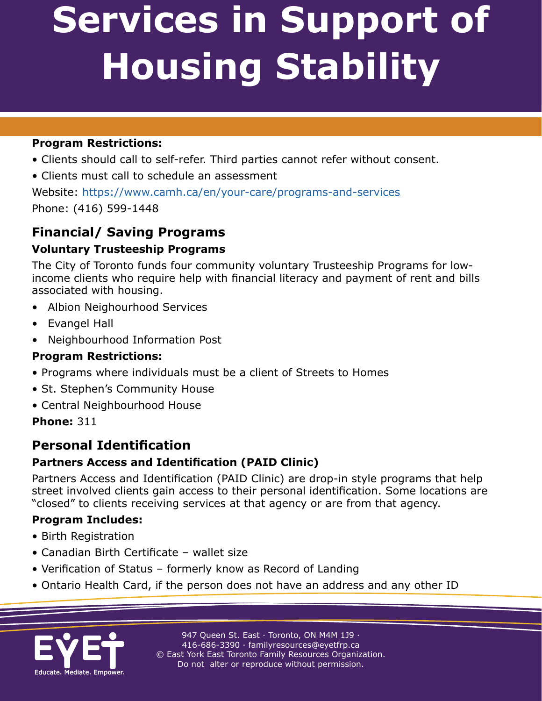**A Resource for Toronto Housing Professionals** 

### **Program Restrictions:**

- Clients should call to self-refer. Third parties cannot refer without consent.
- Clients must call to schedule an assessment

Website: <https://www.camh.ca/en/your-care/programs-and-services> Phone: (416) 599-1448

## **Financial/ Saving Programs**

### **Voluntary Trusteeship Programs**

The City of Toronto funds four community voluntary Trusteeship Programs for lowincome clients who require help with financial literacy and payment of rent and bills associated with housing.

- Albion Neighourhood Services
- Evangel Hall
- Neighbourhood Information Post

### **Program Restrictions:**

- Programs where individuals must be a client of Streets to Homes
- St. Stephen's Community House
- Central Neighbourhood House

### **Phone:** 311

## **Personal Identification**

## **Partners Access and Identification (PAID Clinic)**

Partners Access and Identification (PAID Clinic) are drop-in style programs that help street involved clients gain access to their personal identification. Some locations are "closed" to clients receiving services at that agency or are from that agency.

### **Program Includes:**

- Birth Registration
- Canadian Birth Certificate wallet size
- Verification of Status formerly know as Record of Landing
- Ontario Health Card, if the person does not have an address and any other ID

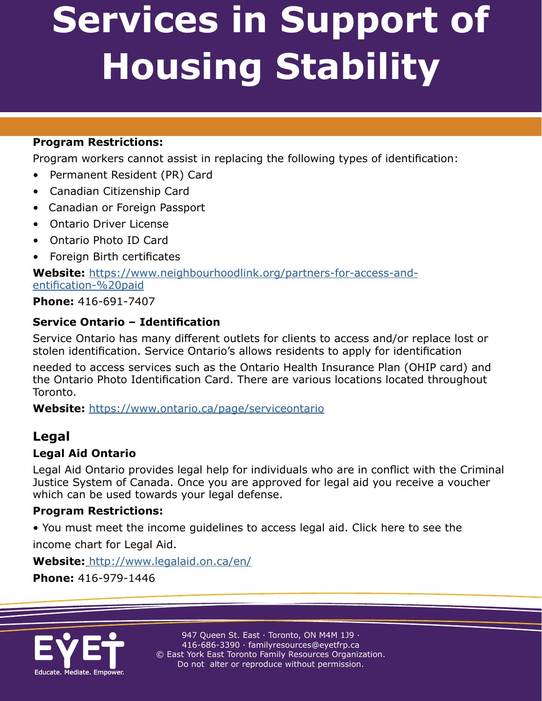**A Resource for Toronto Housing Professionals** 

#### **Program Restrictions:**

Program workers cannot assist in replacing the following types of identification:

- Permanent Resident (PR) Card
- Canadian Citizenship Card
- Canadian or Foreign Passport
- Ontario Driver License
- Ontario Photo ID Card
- Foreign Birth certificates

**Website:** [https://www.neighbourhoodlink.org/partners-for-access-and](https://www.neighbourhoodlink.org/partners-for-access-and-identification-%20paid/Phone)[entification-%20paid](https://www.neighbourhoodlink.org/partners-for-access-and-identification-%20paid/Phone)

**[Phone](https://www.neighbourhoodlink.org/partners-for-access-and-identification-%20paid/Phone):** 416-691-7407

#### **Service Ontario – Identification**

Service Ontario has many different outlets for clients to access and/or replace lost or stolen identification. Service Ontario's allows residents to apply for identification

needed to access services such as the Ontario Health Insurance Plan (OHIP card) and the Ontario Photo Identification Card. There are various locations located throughout Toronto.

**Website:** <https://www.ontario.ca/page/serviceontario>

## **Legal**

#### **Legal Aid Ontario**

Legal Aid Ontario provides legal help for individuals who are in conflict with the Criminal Justice System of Canada. Once you are approved for legal aid you receive a voucher which can be used towards your legal defense.

#### **Program Restrictions:**

• You must meet the income guidelines to access legal aid. Click here to see the

income chart for Legal Aid.

**Website:** [http://www.legalaid.on.ca/en/](http://www.legalaid.on.ca/en/
)

**Phone:** 416-979-1446

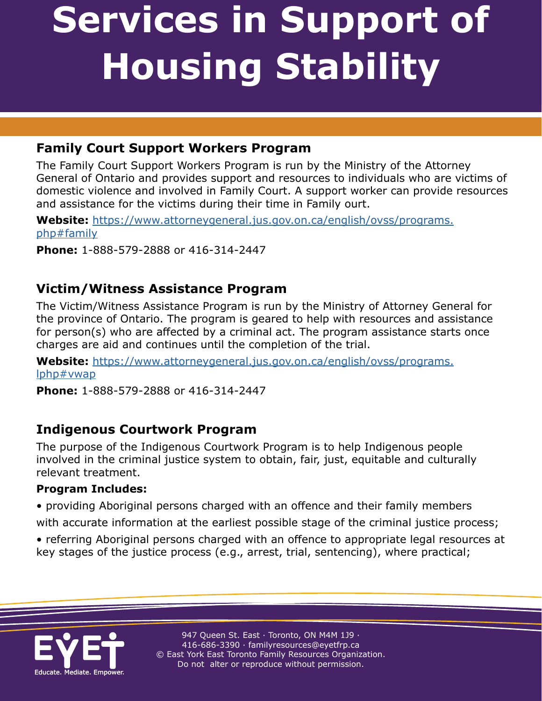## **Family Court Support Workers Program**

The Family Court Support Workers Program is run by the Ministry of the Attorney General of Ontario and provides support and resources to individuals who are victims of domestic violence and involved in Family Court. A support worker can provide resources and assistance for the victims during their time in Family ourt.

**A Resource for Toronto Housing Professionals** 

**Website:** <https://www.attorneygeneral.jus.gov.on.ca/english/ovss/programs.> php#family

**Phone:** 1-888-579-2888 or 416-314-2447

## **Victim/Witness Assistance Program**

The Victim/Witness Assistance Program is run by the Ministry of Attorney General for the province of Ontario. The program is geared to help with resources and assistance for person(s) who are affected by a criminal act. The program assistance starts once charges are aid and continues until the completion of the trial.

**Website:** <https://www.attorneygeneral.jus.gov.on.ca/english/ovss/programs.> lphp#vwap

**Phone:** 1-888-579-2888 or 416-314-2447

## **Indigenous Courtwork Program**

The purpose of the Indigenous Courtwork Program is to help Indigenous people involved in the criminal justice system to obtain, fair, just, equitable and culturally relevant treatment.

#### **Program Includes:**

• providing Aboriginal persons charged with an offence and their family members

with accurate information at the earliest possible stage of the criminal justice process;

• referring Aboriginal persons charged with an offence to appropriate legal resources at key stages of the justice process (e.g., arrest, trial, sentencing), where practical;

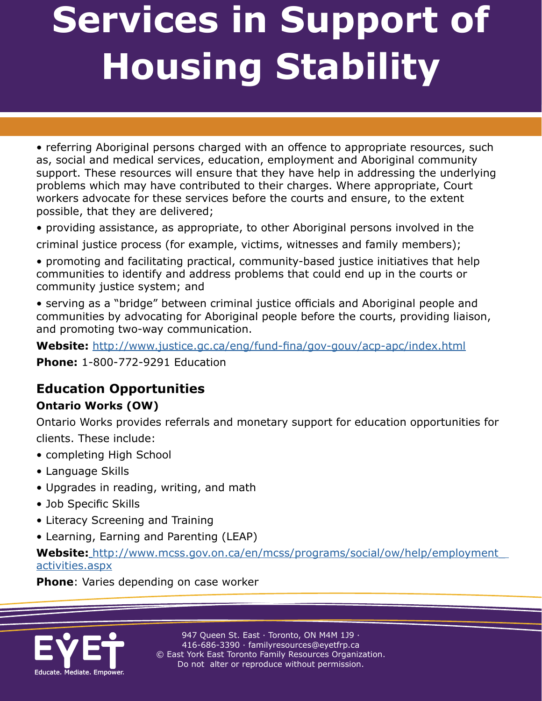**A Resource for Toronto Housing Professionals** 

• referring Aboriginal persons charged with an offence to appropriate resources, such as, social and medical services, education, employment and Aboriginal community support. These resources will ensure that they have help in addressing the underlying problems which may have contributed to their charges. Where appropriate, Court workers advocate for these services before the courts and ensure, to the extent possible, that they are delivered;

• providing assistance, as appropriate, to other Aboriginal persons involved in the

criminal justice process (for example, victims, witnesses and family members);

• promoting and facilitating practical, community-based justice initiatives that help communities to identify and address problems that could end up in the courts or community justice system; and

• serving as a "bridge" between criminal justice officials and Aboriginal people and communities by advocating for Aboriginal people before the courts, providing liaison, and promoting two-way communication.

**Website:** <http://www.justice.gc.ca/eng/fund-fina/gov-gouv/acp-apc/index.html>

**Phone:** 1-800-772-9291 Education

## **Education Opportunities**

### **Ontario Works (OW)**

Ontario Works provides referrals and monetary support for education opportunities for clients. These include:

- completing High School
- Language Skills
- Upgrades in reading, writing, and math
- Job Specific Skills
- Literacy Screening and Training
- Learning, Earning and Parenting (LEAP)

**Website:** [http://www.mcss.gov.on.ca/en/mcss/programs/social/ow/help/employment\\_](http://www.mcss.gov.on.ca/en/mcss/programs/social/ow/help/employment_) activities.aspx

#### **Phone**: Varies depending on case worker